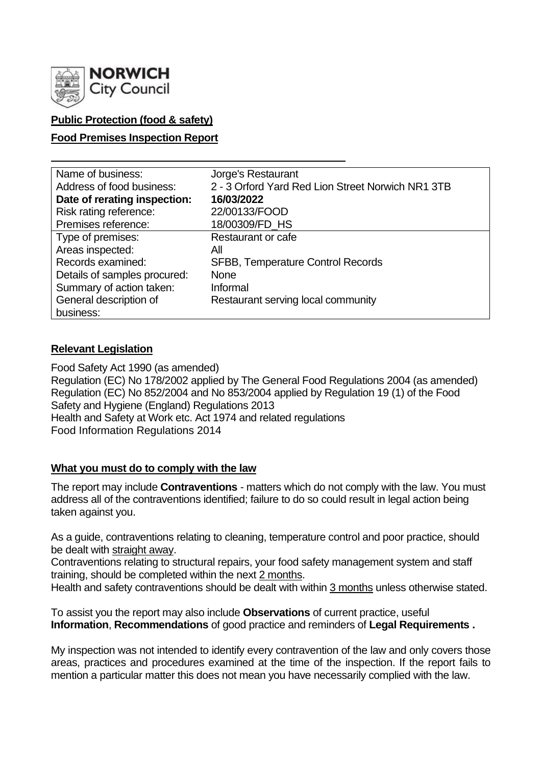

## **Public Protection (food & safety)**

### **Food Premises Inspection Report**

| Name of business:            | Jorge's Restaurant                                |
|------------------------------|---------------------------------------------------|
| Address of food business:    | 2 - 3 Orford Yard Red Lion Street Norwich NR1 3TB |
| Date of rerating inspection: | 16/03/2022                                        |
| Risk rating reference:       | 22/00133/FOOD                                     |
| Premises reference:          | 18/00309/FD_HS                                    |
| Type of premises:            | Restaurant or cafe                                |
| Areas inspected:             | All                                               |
| Records examined:            | <b>SFBB, Temperature Control Records</b>          |
| Details of samples procured: | <b>None</b>                                       |
| Summary of action taken:     | Informal                                          |
| General description of       | Restaurant serving local community                |
| business:                    |                                                   |

#### **Relevant Legislation**

Food Safety Act 1990 (as amended) Regulation (EC) No 178/2002 applied by The General Food Regulations 2004 (as amended) Regulation (EC) No 852/2004 and No 853/2004 applied by Regulation 19 (1) of the Food Safety and Hygiene (England) Regulations 2013 Health and Safety at Work etc. Act 1974 and related regulations Food Information Regulations 2014

## **What you must do to comply with the law**

The report may include **Contraventions** - matters which do not comply with the law. You must address all of the contraventions identified; failure to do so could result in legal action being taken against you.

As a guide, contraventions relating to cleaning, temperature control and poor practice, should be dealt with straight away.

Contraventions relating to structural repairs, your food safety management system and staff training, should be completed within the next 2 months.

Health and safety contraventions should be dealt with within 3 months unless otherwise stated.

To assist you the report may also include **Observations** of current practice, useful **Information**, **Recommendations** of good practice and reminders of **Legal Requirements .**

My inspection was not intended to identify every contravention of the law and only covers those areas, practices and procedures examined at the time of the inspection. If the report fails to mention a particular matter this does not mean you have necessarily complied with the law.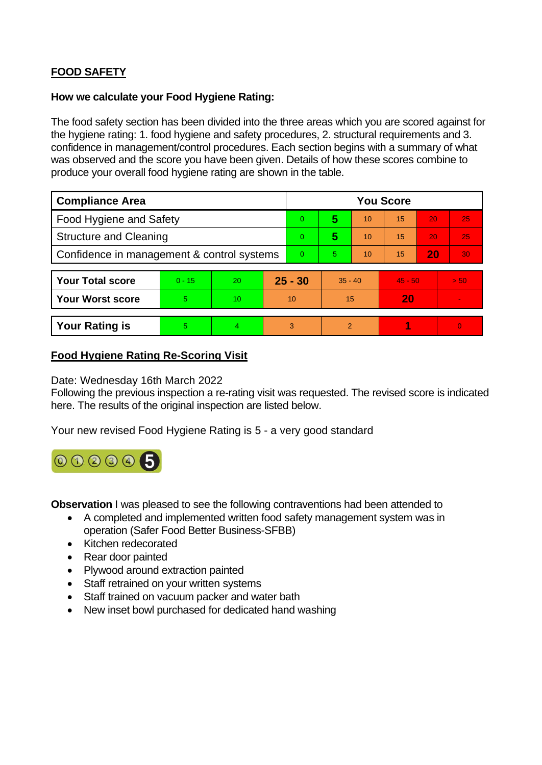# **FOOD SAFETY**

#### **How we calculate your Food Hygiene Rating:**

The food safety section has been divided into the three areas which you are scored against for the hygiene rating: 1. food hygiene and safety procedures, 2. structural requirements and 3. confidence in management/control procedures. Each section begins with a summary of what was observed and the score you have been given. Details of how these scores combine to produce your overall food hygiene rating are shown in the table.

| <b>Compliance Area</b>                     |          |    |           | <b>You Score</b> |               |    |           |    |                 |  |  |
|--------------------------------------------|----------|----|-----------|------------------|---------------|----|-----------|----|-----------------|--|--|
| Food Hygiene and Safety                    |          |    |           | $\overline{0}$   | 5             | 10 | 15        | 20 | 25              |  |  |
| <b>Structure and Cleaning</b>              |          |    |           | $\Omega$         | 5             | 10 | 15        | 20 | 25              |  |  |
| Confidence in management & control systems |          |    |           | $\Omega$         | 5.            | 10 | 15        | 20 | 30              |  |  |
|                                            |          |    |           |                  |               |    |           |    |                 |  |  |
| <b>Your Total score</b>                    | $0 - 15$ | 20 | $25 - 30$ |                  | $35 - 40$     |    | $45 - 50$ |    | 50 <sub>1</sub> |  |  |
| <b>Your Worst score</b>                    | 5        | 10 | 10        |                  | 15            |    | 20        |    | $\sim$          |  |  |
|                                            |          |    |           |                  |               |    |           |    |                 |  |  |
| <b>Your Rating is</b>                      | 5        | 4  |           | 3                | $\mathcal{P}$ |    |           |    | $\overline{0}$  |  |  |

#### **Food Hygiene Rating Re-Scoring Visit**

Date: Wednesday 16th March 2022

Following the previous inspection a re-rating visit was requested. The revised score is indicated here. The results of the original inspection are listed below.

Your new revised Food Hygiene Rating is 5 - a very good standard



**Observation** I was pleased to see the following contraventions had been attended to

- A completed and implemented written food safety management system was in operation (Safer Food Better Business-SFBB)
- Kitchen redecorated
- Rear door painted
- Plywood around extraction painted
- Staff retrained on your written systems
- Staff trained on vacuum packer and water bath
- New inset bowl purchased for dedicated hand washing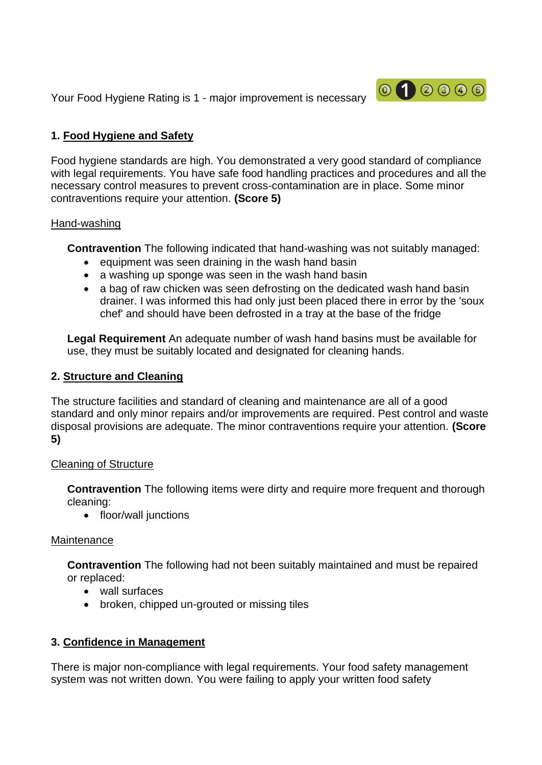Your Food Hygiene Rating is 1 - major improvement is necessary



# **1. Food Hygiene and Safety**

Food hygiene standards are high. You demonstrated a very good standard of compliance with legal requirements. You have safe food handling practices and procedures and all the necessary control measures to prevent cross-contamination are in place. Some minor contraventions require your attention. **(Score 5)**

### Hand-washing

**Contravention** The following indicated that hand-washing was not suitably managed:

- equipment was seen draining in the wash hand basin
- a washing up sponge was seen in the wash hand basin
- a bag of raw chicken was seen defrosting on the dedicated wash hand basin drainer. I was informed this had only just been placed there in error by the 'soux chef' and should have been defrosted in a tray at the base of the fridge

**Legal Requirement** An adequate number of wash hand basins must be available for use, they must be suitably located and designated for cleaning hands.

## **2. Structure and Cleaning**

The structure facilities and standard of cleaning and maintenance are all of a good standard and only minor repairs and/or improvements are required. Pest control and waste disposal provisions are adequate. The minor contraventions require your attention. **(Score 5)**

## Cleaning of Structure

**Contravention** The following items were dirty and require more frequent and thorough cleaning:

• floor/wall junctions

## Maintenance

**Contravention** The following had not been suitably maintained and must be repaired or replaced:

- wall surfaces
- broken, chipped un-grouted or missing tiles

# **3. Confidence in Management**

There is major non-compliance with legal requirements. Your food safety management system was not written down. You were failing to apply your written food safety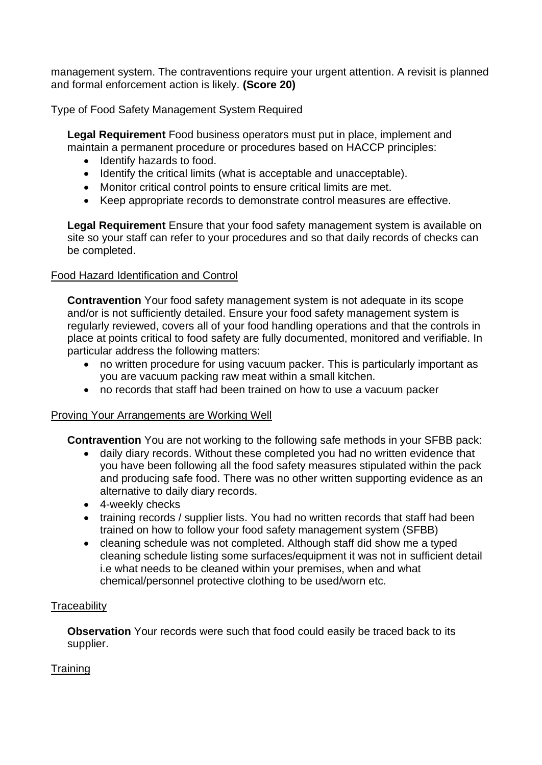management system. The contraventions require your urgent attention. A revisit is planned and formal enforcement action is likely. **(Score 20)**

### Type of Food Safety Management System Required

**Legal Requirement** Food business operators must put in place, implement and maintain a permanent procedure or procedures based on HACCP principles:

- Identify hazards to food.
- Identify the critical limits (what is acceptable and unacceptable).
- Monitor critical control points to ensure critical limits are met.
- Keep appropriate records to demonstrate control measures are effective.

**Legal Requirement** Ensure that your food safety management system is available on site so your staff can refer to your procedures and so that daily records of checks can be completed.

### Food Hazard Identification and Control

**Contravention** Your food safety management system is not adequate in its scope and/or is not sufficiently detailed. Ensure your food safety management system is regularly reviewed, covers all of your food handling operations and that the controls in place at points critical to food safety are fully documented, monitored and verifiable. In particular address the following matters:

- no written procedure for using vacuum packer. This is particularly important as you are vacuum packing raw meat within a small kitchen.
- no records that staff had been trained on how to use a vacuum packer

#### Proving Your Arrangements are Working Well

**Contravention** You are not working to the following safe methods in your SFBB pack:

- daily diary records. Without these completed you had no written evidence that you have been following all the food safety measures stipulated within the pack and producing safe food. There was no other written supporting evidence as an alternative to daily diary records.
- 4-weekly checks
- training records / supplier lists. You had no written records that staff had been trained on how to follow your food safety management system (SFBB)
- cleaning schedule was not completed. Although staff did show me a typed cleaning schedule listing some surfaces/equipment it was not in sufficient detail i.e what needs to be cleaned within your premises, when and what chemical/personnel protective clothing to be used/worn etc.

#### **Traceability**

**Observation** Your records were such that food could easily be traced back to its supplier.

## **Training**